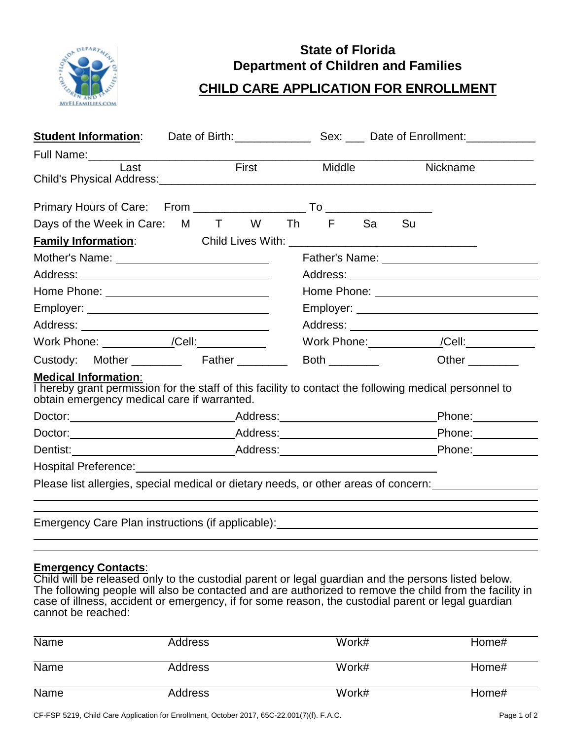

## **State of Florida Department of Children and Families**

## **CHILD CARE APPLICATION FOR ENROLLMENT**

| <b>Student Information:</b>                                                                                                                                                                                                    |  |               | Date of Birth: Sex: Date of Enrollment:                                                                                                                                                                                             |  |
|--------------------------------------------------------------------------------------------------------------------------------------------------------------------------------------------------------------------------------|--|---------------|-------------------------------------------------------------------------------------------------------------------------------------------------------------------------------------------------------------------------------------|--|
|                                                                                                                                                                                                                                |  |               |                                                                                                                                                                                                                                     |  |
| Last                                                                                                                                                                                                                           |  | First Middle  | <b>Nickname</b>                                                                                                                                                                                                                     |  |
|                                                                                                                                                                                                                                |  |               |                                                                                                                                                                                                                                     |  |
| Days of the Week in Care: M T W Th F Sa Su                                                                                                                                                                                     |  |               |                                                                                                                                                                                                                                     |  |
|                                                                                                                                                                                                                                |  |               |                                                                                                                                                                                                                                     |  |
|                                                                                                                                                                                                                                |  |               |                                                                                                                                                                                                                                     |  |
|                                                                                                                                                                                                                                |  |               |                                                                                                                                                                                                                                     |  |
| Home Phone: New York Changes and The Phone State Changes and The Changes of the Changes of the Changes of the Changes and The Changes of the Changes of the Changes of the Changes of the Changes of the Changes of the Change |  |               |                                                                                                                                                                                                                                     |  |
|                                                                                                                                                                                                                                |  |               | Employer: ___________________________________                                                                                                                                                                                       |  |
|                                                                                                                                                                                                                                |  |               |                                                                                                                                                                                                                                     |  |
| Work Phone: ___________/Cell:___________                                                                                                                                                                                       |  |               | Work Phone: _______________/Cell: ____________                                                                                                                                                                                      |  |
| Custody: Mother Father                                                                                                                                                                                                         |  | Both $\qquad$ | Other                                                                                                                                                                                                                               |  |
| <b>Medical Information:</b><br>obtain emergency medical care if warranted.                                                                                                                                                     |  |               | I hereby grant permission for the staff of this facility to contact the following medical personnel to                                                                                                                              |  |
|                                                                                                                                                                                                                                |  |               | Phone:                                                                                                                                                                                                                              |  |
|                                                                                                                                                                                                                                |  |               |                                                                                                                                                                                                                                     |  |
|                                                                                                                                                                                                                                |  |               | Phone: 2000                                                                                                                                                                                                                         |  |
| Hospital Preference: Management Control of the Hospital Preference:                                                                                                                                                            |  |               |                                                                                                                                                                                                                                     |  |
|                                                                                                                                                                                                                                |  |               | Please list allergies, special medical or dietary needs, or other areas of concern:                                                                                                                                                 |  |
|                                                                                                                                                                                                                                |  |               | Emergency Care Plan instructions (if applicable): <u>[16]</u> The matter of the state of the state of the state of the state of the state of the state of the state of the state of the state of the state of the state of the stat |  |

## **Emergency Contacts**:

Child will be released only to the custodial parent or legal guardian and the persons listed below. The following people will also be contacted and are authorized to remove the child from the facility in case of illness, accident or emergency, if for some reason, the custodial parent or legal guardian cannot be reached:

| <b>Name</b> | Address        | Work# | Home# |
|-------------|----------------|-------|-------|
| <b>Name</b> | Address        | Work# | Home# |
| Name        | <b>Address</b> | Work# | Home# |

CF-FSP 5219, Child Care Application for Enrollment, October 2017, 65C-22.001(7)(f). F.A.C. Page 1 of 2